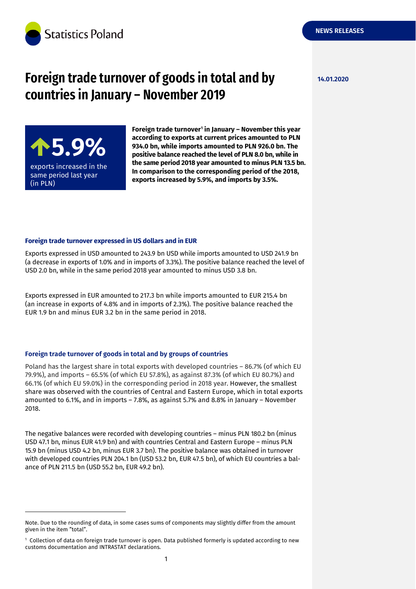

# **Foreign trade turnover of goods in total and by 14.01.2020 countries in January – November 2019**



-

**Foreign trade turnover<sup>1</sup> in January – November this year according to exports at current prices amounted to PLN 934.0 bn, while imports amounted to PLN 926.0 bn. The positive balance reached the level of PLN 8.0 bn, while in the same period 2018 year amounted to minus PLN 13.5 bn. In comparison to the corresponding period of the 2018, exports increased by 5.9%, and imports by 3.5%.**

#### **Foreign trade turnover expressed in US dollars and in EUR**

Exports expressed in USD amounted to 243.9 bn USD while imports amounted to USD 241.9 bn (a decrease in exports of 1.0% and in imports of 3.3%). The positive balance reached the level of USD 2.0 bn, while in the same period 2018 year amounted to minus USD 3.8 bn.

Exports expressed in EUR amounted to 217.3 bn while imports amounted to EUR 215.4 bn (an increase in exports of 4.8% and in imports of 2.3%). The positive balance reached the EUR 1.9 bn and minus EUR 3.2 bn in the same period in 2018.

#### **Foreign trade turnover of goods in total and by groups of countries**

Poland has the largest share in total exports with developed countries – 86.7% (of which EU 79.9%), and imports – 65.5% (of which EU 57.8%), as against 87.3% (of which EU 80.7%) and 66.1% (of which EU 59.0%) in the corresponding period in 2018 year. However, the smallest share was observed with the countries of Central and Eastern Europe, which in total exports amounted to 6.1%, and in imports – 7.8%, as against 5.7% and 8.8% in January – November 2018.

The negative balances were recorded with developing countries – minus PLN 180.2 bn (minus USD 47.1 bn, minus EUR 41.9 bn) and with countries Central and Eastern Europe – minus PLN 15.9 bn (minus USD 4.2 bn, minus EUR 3.7 bn). The positive balance was obtained in turnover with developed countries PLN 204.1 bn (USD 53.2 bn, EUR 47.5 bn), of which EU countries a balance of PLN 211.5 bn (USD 55.2 bn, EUR 49.2 bn).

**NEWS RELEASES**

Note. Due to the rounding of data, in some cases sums of components may slightly differ from the amount given in the item "total".

<sup>1</sup> Collection of data on foreign trade turnover is open. Data published formerly is updated according to new customs documentation and INTRASTAT declarations.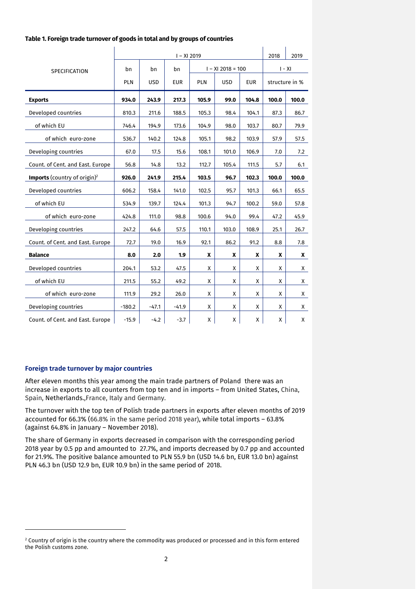| Table 1. Foreign trade turnover of goods in total and by groups of countries |  |  |
|------------------------------------------------------------------------------|--|--|
|------------------------------------------------------------------------------|--|--|

|                                          |          |            |            |       |                     | $I - XI 2019$ |                |       |  |  |  |
|------------------------------------------|----------|------------|------------|-------|---------------------|---------------|----------------|-------|--|--|--|
| <b>SPECIFICATION</b>                     | bn       | bn         | bn         |       | $I - XI$ 2018 = 100 |               | $I - XI$       |       |  |  |  |
|                                          | PLN      | <b>USD</b> | <b>EUR</b> | PLN   | <b>USD</b>          | <b>EUR</b>    | structure in % |       |  |  |  |
| <b>Exports</b>                           | 934.0    | 243.9      | 217.3      | 105.9 | 99.0                | 104.8         | 100.0          | 100.0 |  |  |  |
| Developed countries                      | 810.3    | 211.6      | 188.5      | 105.3 | 98.4                | 104.1         | 87.3           | 86.7  |  |  |  |
| of which EU                              | 746.4    | 194.9      | 173.6      | 104.9 | 98.0                | 103.7         | 80.7           | 79.9  |  |  |  |
| of which euro-zone                       | 536.7    | 140.2      | 124.8      | 105.1 | 98.2                | 103.9         | 57.9           | 57.5  |  |  |  |
| Developing countries                     | 67.0     | 17.5       | 15.6       | 108.1 | 101.0               | 106.9         | 7.0            | 7.2   |  |  |  |
| Count. of Cent. and East. Europe         | 56.8     | 14.8       | 13.2       | 112.7 | 105.4               | 111.5         | 5.7            | 6.1   |  |  |  |
| Imports (country of origin) <sup>2</sup> | 926.0    | 241.9      | 215.4      | 103.5 | 96.7                | 102.3         | 100.0          | 100.0 |  |  |  |
| Developed countries                      | 606.2    | 158.4      | 141.0      | 102.5 | 95.7                | 101.3         | 66.1           | 65.5  |  |  |  |
| of which EU                              | 534.9    | 139.7      | 124.4      | 101.3 | 94.7                | 100.2         | 59.0           | 57.8  |  |  |  |
| of which euro-zone                       | 424.8    | 111.0      | 98.8       | 100.6 | 94.0                | 99.4          | 47.2           | 45.9  |  |  |  |
| Developing countries                     | 247.2    | 64.6       | 57.5       | 110.1 | 103.0               | 108.9         | 25.1           | 26.7  |  |  |  |
| Count. of Cent. and East. Europe         | 72.7     | 19.0       | 16.9       | 92.1  | 86.2                | 91.2          | 8.8            | 7.8   |  |  |  |
| <b>Balance</b>                           | 8.0      | 2.0        | 1.9        | X     | X                   | X             | X              | X     |  |  |  |
| Developed countries                      | 204.1    | 53.2       | 47.5       | X     | X                   | X             | X              | X     |  |  |  |
| of which EU                              | 211.5    | 55.2       | 49.2       | Χ     | X                   | X             | X              | X     |  |  |  |
| of which euro-zone                       | 111.9    | 29.2       | 26.0       | X     | X                   | X             | X              | X     |  |  |  |
| Developing countries                     | $-180.2$ | $-47.1$    | $-41.9$    | X     | X                   | X             | X              | X     |  |  |  |
| Count. of Cent. and East. Europe         | $-15.9$  | $-4.2$     | $-3.7$     | Χ     | Χ                   | Χ             | Χ              | Χ     |  |  |  |

#### **Foreign trade turnover by major countries**

-

After eleven months this year among the main trade partners of Poland there was an increase in exports to all counters from top ten and in imports – from United States, China, Spain, Netherlands.,France, Italy and Germany.

The turnover with the top ten of Polish trade partners in exports after eleven months of 2019 accounted for 66.3% (66.8% in the same period 2018 year), while total imports – 63.8% (against 64.8% in January – November 2018).

The share of Germany in exports decreased in comparison with the corresponding period 2018 year by 0.5 pp and amounted to 27.7%, and imports decreased by 0.7 pp and accounted for 21.9%. The positive balance amounted to PLN 55.9 bn (USD 14.6 bn, EUR 13.0 bn) against PLN 46.3 bn (USD 12.9 bn, EUR 10.9 bn) in the same period of 2018.

 $2$  Country of origin is the country where the commodity was produced or processed and in this form entered the Polish customs zone.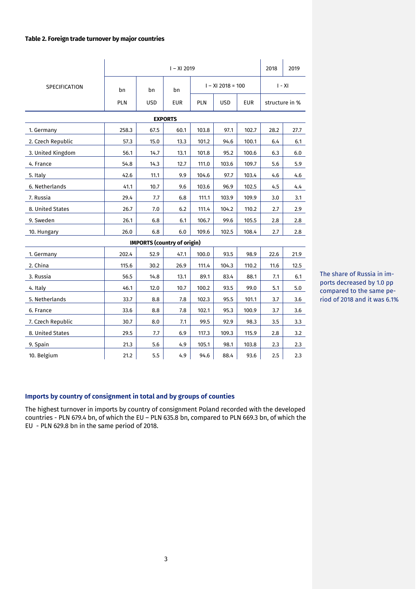#### **Table 2. Foreign trade turnover by major countries**

|                                    | $I - XI 2019$     |      |            |            |                     |            | 2018           | 2019 |
|------------------------------------|-------------------|------|------------|------------|---------------------|------------|----------------|------|
| <b>SPECIFICATION</b><br>bn         |                   | bn   | bn         |            | $I - XI$ 2018 = 100 | $I - XI$   |                |      |
|                                    | PLN<br><b>USD</b> |      | <b>EUR</b> | <b>PLN</b> | <b>USD</b>          | <b>EUR</b> | structure in % |      |
|                                    | <b>EXPORTS</b>    |      |            |            |                     |            |                |      |
| 1. Germany                         | 258.3             | 67.5 | 60.1       | 103.8      | 97.1                | 102.7      | 28.2           | 27.7 |
| 2. Czech Republic                  | 57.3              | 15.0 | 13.3       | 101.2      | 94.6                | 100.1      | 6.4            | 6.1  |
| 3. United Kingdom                  | 56.1              | 14.7 | 13.1       | 101.8      | 95.2                | 100.6      | 6.3            | 6.0  |
| 4. France                          | 54.8              | 14.3 | 12.7       | 111.0      | 103.6               | 109.7      | 5.6            | 5.9  |
| 5. Italy                           | 42.6              | 11.1 | 9.9        | 104.6      | 97.7                | 103.4      | 4.6            | 4.6  |
| 6. Netherlands                     | 41.1              | 10.7 | 9.6        | 103.6      | 96.9                | 102.5      | 4.5            | 4.4  |
| 7. Russia                          | 29.4              | 7.7  | 6.8        | 111.1      | 103.9               | 109.9      | 3.0            | 3.1  |
| 8. United States                   | 26.7              | 7.0  | 6.2        | 111.4      | 104.2               | 110.2      | 2.7            | 2.9  |
| 9. Sweden                          | 26.1              | 6.8  | 6.1        | 106.7      | 99.6                | 105.5      | 2.8            | 2.8  |
| 10. Hungary                        | 26.0              | 6.8  | 6.0        | 109.6      | 102.5               | 108.4      | 2.7            | 2.8  |
| <b>IMPORTS (country of origin)</b> |                   |      |            |            |                     |            |                |      |
| 1. Germany                         | 202.4             | 52.9 | 47.1       | 100.0      | 93.5                | 98.9       | 22.6           | 21.9 |
| 2. China                           | 115.6             | 30.2 | 26.9       | 111.4      | 104.3               | 110.2      | 11.6           | 12.5 |
| 3. Russia                          | 56.5              | 14.8 | 13.1       | 89.1       | 83.4                | 88.1       | 7.1            | 6.1  |
| 4. Italy                           | 46.1              | 12.0 | 10.7       | 100.2      | 93.5                | 99.0       | 5.1            | 5.0  |
| 5. Netherlands                     | 33.7              | 8.8  | 7.8        | 102.3      | 95.5                | 101.1      | 3.7            | 3.6  |
| 6. France                          | 33.6              | 8.8  | 7.8        | 102.1      | 95.3                | 100.9      | 3.7            | 3.6  |
| 7. Czech Republic                  | 30.7              | 8.0  | 7.1        | 99.5       | 92.9                | 98.3       | 3.5            | 3.3  |
| 8. United States                   | 29.5              | 7.7  | 6.9        | 117.3      | 109.3               | 115.9      | 2.8            | 3.2  |
| 9. Spain                           | 21.3              | 5.6  | 4.9        | 105.1      | 98.1                | 103.8      | 2.3            | 2.3  |
| 10. Belgium                        | 21.2              | 5.5  | 4.9        | 94.6       | 88.4                | 93.6       | 2.5            | 2.3  |

The share of Russia in imports decreased by 1.0 pp compared to the same period of 2018 and it was 6.1%

# **Imports by country of consignment in total and by groups of counties**

The highest turnover in imports by country of consignment Poland recorded with the developed countries - PLN 679.4 bn, of which the EU – PLN 635.8 bn, compared to PLN 669.3 bn, of which the EU - PLN 629.8 bn in the same period of 2018.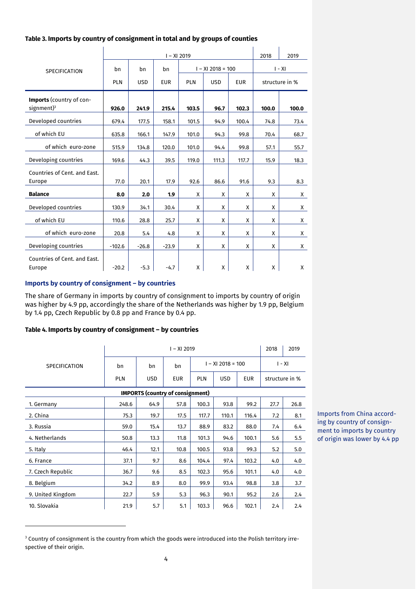## **Table 3. Imports by country of consignment in total and by groups of counties**

|                                            | $I - XI 2019$ |            |            |            |                     |            |       | 2019           |
|--------------------------------------------|---------------|------------|------------|------------|---------------------|------------|-------|----------------|
| <b>SPECIFICATION</b>                       | bn            | bn         | bn         |            | $I - XI$ 2018 = 100 | $I - XI$   |       |                |
|                                            | <b>PLN</b>    | <b>USD</b> | <b>EUR</b> | <b>PLN</b> | <b>USD</b>          | <b>EUR</b> |       | structure in % |
| Imports (country of con-<br>signment $)^3$ | 926.0         | 241.9      | 215.4      | 103.5      | 96.7                | 102.3      | 100.0 | 100.0          |
| Developed countries                        | 679.4         | 177.5      | 158.1      | 101.5      | 94.9                | 100.4      | 74.8  | 73.4           |
| of which EU                                | 635.8         | 166.1      | 147.9      | 101.0      | 94.3                | 99.8       | 70.4  | 68.7           |
| of which euro-zone                         | 515.9         | 134.8      | 120.0      | 101.0      | 94.4                | 99.8       | 57.1  | 55.7           |
| Developing countries                       | 169.6         | 44.3       | 39.5       | 119.0      | 111.3               | 117.7      | 15.9  | 18.3           |
| Countries of Cent. and East.               |               |            |            |            |                     |            |       |                |
| Europe                                     | 77.0          | 20.1       | 17.9       | 92.6       | 86.6                | 91.6       | 9.3   | 8.3            |
| <b>Balance</b>                             | 8.0           | 2.0        | 1.9        | X          | X                   | X          | X     | Χ              |
| Developed countries                        | 130.9         | 34.1       | 30.4       | X          | X                   | X          | X     | X              |
| of which EU                                | 110.6         | 28.8       | 25.7       | X          | X                   | X          | X     | X              |
| of which euro-zone                         | 20.8          | 5.4        | 4.8        | X          | X                   | X          | X     | X              |
| Developing countries                       | $-102.6$      | $-26.8$    | $-23.9$    | X          | X                   | X          | X     | X              |
| Countries of Cent. and East.<br>Europe     | $-20.2$       | $-5.3$     | $-4.7$     | X          | X                   | X          | X     | X              |

# **Imports by country of consignment – by countries**

-

The share of Germany in imports by country of consignment to imports by country of origin was higher by 4.9 pp, accordingly the share of the Netherlands was higher by 1.9 pp, Belgium by 1.4 pp, Czech Republic by 0.8 pp and France by 0.4 pp.

#### **Table 4. Imports by country of consignment – by countries**

|                      | $I - XI 2019$ |            |                                         |                     |            |            | 2018           | 2019 |
|----------------------|---------------|------------|-----------------------------------------|---------------------|------------|------------|----------------|------|
| <b>SPECIFICATION</b> | bn            | bn         | bn                                      | $I - XI$ 2018 = 100 |            |            | $I - XI$       |      |
|                      | <b>PLN</b>    | <b>USD</b> | <b>EUR</b>                              | <b>PLN</b>          | <b>USD</b> | <b>EUR</b> | structure in % |      |
|                      |               |            | <b>IMPORTS (country of consignment)</b> |                     |            |            |                |      |
| 1. Germany           | 248.6         | 64.9       | 57.8                                    | 100.3               | 93.8       | 99.2       | 27.7           | 26.8 |
| 2. China             | 75.3          | 19.7       | 17.5                                    | 117.7               | 110.1      | 116.4      | 7.2            | 8.1  |
| 3. Russia            | 59.0          | 15.4       | 13.7                                    | 88.9                | 83.2       | 88.0       | 7.4            | 6.4  |
| 4. Netherlands       | 50.8          | 13.3       | 11.8                                    | 101.3               | 94.6       | 100.1      | 5.6            | 5.5  |
| 5. Italy             | 46.4          | 12.1       | 10.8                                    | 100.5               | 93.8       | 99.3       | 5.2            | 5.0  |
| 6. France            | 37.1          | 9.7        | 8.6                                     | 104.4               | 97.4       | 103.2      | 4.0            | 4.0  |
| 7. Czech Republic    | 36.7          | 9.6        | 8.5                                     | 102.3               | 95.6       | 101.1      | 4.0            | 4.0  |
| 8. Belgium           | 34.2          | 8.9        | 8.0                                     | 99.9                | 93.4       | 98.8       | 3.8            | 3.7  |
| 9. United Kingdom    | 22.7          | 5.9        | 5.3                                     | 96.3                | 90.1       | 95.2       | 2.6            | 2.4  |
| 10. Slovakia         | 21.9          | 5.7        | 5.1                                     | 103.3               | 96.6       | 102.1      | 2.4            | 2.4  |

Imports from China according by country of consignment to imports by country of origin was lower by 4.4 pp

<sup>&</sup>lt;sup>3</sup> Country of consignment is the country from which the goods were introduced into the Polish territory irrespective of their origin.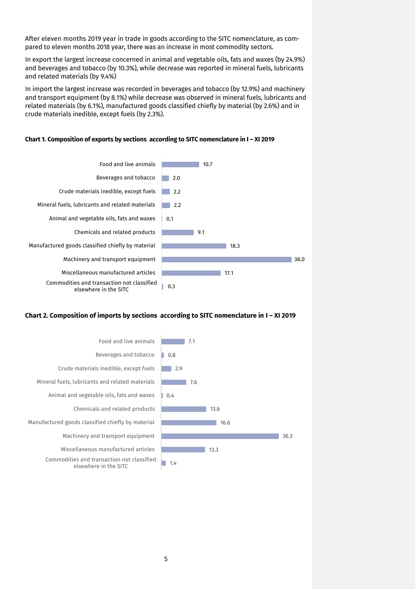After eleven months 2019 year in trade in goods according to the SITC nomenclature, as compared to eleven months 2018 year, there was an increase in most commodity sectors.

In export the largest increase concerned in animal and vegetable oils, fats and waxes (by 24.9%) and beverages and tobacco (by 10.3%), while decrease was reported in mineral fuels, lubricants and related materials (by 9.4%)

In import the largest increase was recorded in beverages and tobacco (by 12.9%) and machinery and transport equipment (by 8.1%) while decrease was observed in mineral fuels, lubricants and related materials (by 6.1%), manufactured goods classified chiefly by material (by 2.6%) and in crude materials inedible, except fuels (by 2.3%).



#### **Chart 1. Composition of exports by sections according to SITC nomenclature in I – XI 2019**

#### **Chart 2. Composition of imports by sections according to SITC nomenclature in I – XI 2019**

| Food and live animals                                               | 7.1  |
|---------------------------------------------------------------------|------|
| Beverages and tobacco                                               | 0.8  |
| Crude materials inedible, except fuels                              | 2.9  |
| Mineral fuels, lubricants and related materials                     | 7.6  |
| Animal and vegetable oils, fats and waxes                           | 0.4  |
| Chemicals and related products                                      | 13.6 |
| Manufactured goods classified chiefly by material                   | 16.6 |
| Machinery and transport equipment                                   | 36.3 |
| Miscellaneous manufactured articles                                 | 13.3 |
| Commodities and transaction not classified<br>elsewhere in the SITC | 1.4  |